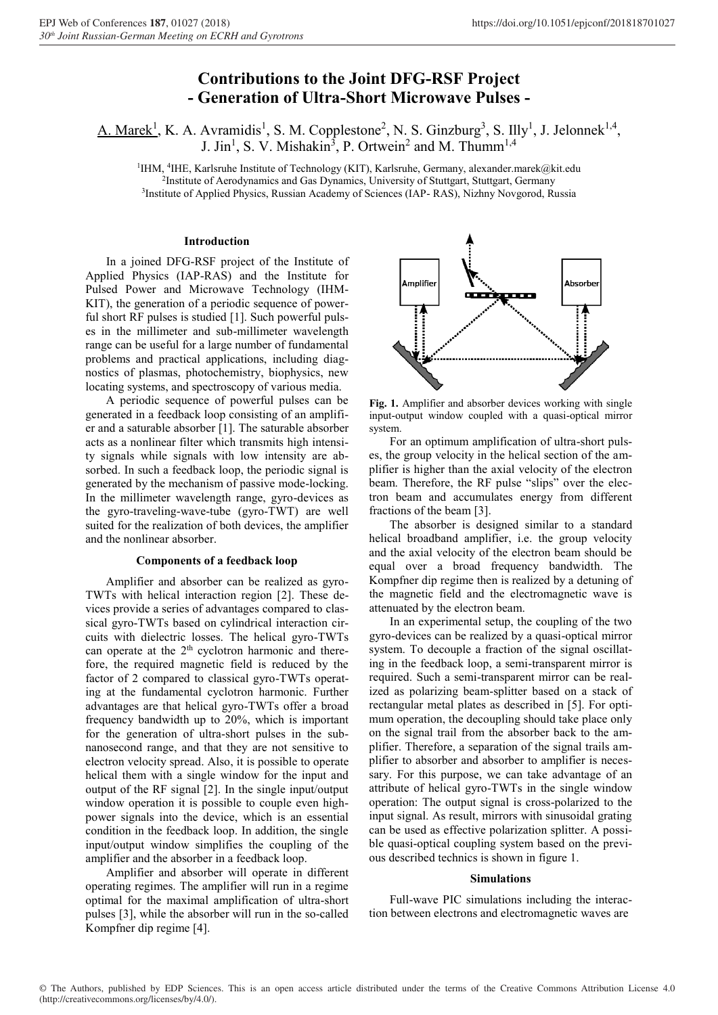# **Contributions to the Joint DFG-RSF Project - Generation of Ultra-Short Microwave Pulses -**

A. Marek<sup>1</sup>, K. A. Avramidis<sup>1</sup>, S. M. Copplestone<sup>2</sup>, N. S. Ginzburg<sup>3</sup>, S. Illy<sup>1</sup>, J. Jelonnek<sup>1,4</sup>, J. Jin<sup>1</sup>, S. V. Mishakin<sup>3</sup>, P. Ortwein<sup>2</sup> and M. Thumm<sup>1,4</sup>

1IHM, 4IHE, Karlsruhe Institute of Technology (KIT), Karlsruhe, Germany, alexander.marek@kit.edu 2Institute of Aerodynamics and Gas Dynamics, University of Stuttgart, Stuttgart, Germany <sup>3</sup>Institute of Applied Physics, Russian Academy of Sciences (IAP- RAS), Nizhny Novgorod, Russia

## **Introduction**

In a joined DFG-RSF project of the Institute of Applied Physics (IAP-RAS) and the Institute for Pulsed Power and Microwave Technology (IHM-KIT), the generation of a periodic sequence of powerful short RF pulses is studied [1]. Such powerful pulses in the millimeter and sub-millimeter wavelength range can be useful for a large number of fundamental problems and practical applications, including diagnostics of plasmas, photochemistry, biophysics, new locating systems, and spectroscopy of various media.

A periodic sequence of powerful pulses can be generated in a feedback loop consisting of an amplifier and a saturable absorber [1]. The saturable absorber acts as a nonlinear filter which transmits high intensity signals while signals with low intensity are absorbed. In such a feedback loop, the periodic signal is generated by the mechanism of passive mode-locking. In the millimeter wavelength range, gyro-devices as the gyro-traveling-wave-tube (gyro-TWT) are well suited for the realization of both devices, the amplifier and the nonlinear absorber.

### **Components of a feedback loop**

Amplifier and absorber can be realized as gyro-TWTs with helical interaction region [2]. These devices provide a series of advantages compared to classical gyro-TWTs based on cylindrical interaction circuits with dielectric losses. The helical gyro-TWTs can operate at the  $2<sup>th</sup>$  cyclotron harmonic and therefore, the required magnetic field is reduced by the factor of 2 compared to classical gyro-TWTs operating at the fundamental cyclotron harmonic. Further advantages are that helical gyro-TWTs offer a broad frequency bandwidth up to 20%, which is important for the generation of ultra-short pulses in the subnanosecond range, and that they are not sensitive to electron velocity spread. Also, it is possible to operate helical them with a single window for the input and output of the RF signal [2]. In the single input/output window operation it is possible to couple even highpower signals into the device, which is an essential condition in the feedback loop. In addition, the single input/output window simplifies the coupling of the amplifier and the absorber in a feedback loop.

Amplifier and absorber will operate in different operating regimes. The amplifier will run in a regime optimal for the maximal amplification of ultra-short pulses [3], while the absorber will run in the so-called Kompfner dip regime [4].



**Fig. 1.** Amplifier and absorber devices working with single input-output window coupled with a quasi-optical mirror system.

For an optimum amplification of ultra-short pulses, the group velocity in the helical section of the amplifier is higher than the axial velocity of the electron beam. Therefore, the RF pulse "slips" over the electron beam and accumulates energy from different fractions of the beam [3].

The absorber is designed similar to a standard helical broadband amplifier, i.e. the group velocity and the axial velocity of the electron beam should be equal over a broad frequency bandwidth. The Kompfner dip regime then is realized by a detuning of the magnetic field and the electromagnetic wave is attenuated by the electron beam.

In an experimental setup, the coupling of the two gyro-devices can be realized by a quasi-optical mirror system. To decouple a fraction of the signal oscillating in the feedback loop, a semi-transparent mirror is required. Such a semi-transparent mirror can be realized as polarizing beam-splitter based on a stack of rectangular metal plates as described in [5]. For optimum operation, the decoupling should take place only on the signal trail from the absorber back to the amplifier. Therefore, a separation of the signal trails amplifier to absorber and absorber to amplifier is necessary. For this purpose, we can take advantage of an attribute of helical gyro-TWTs in the single window operation: The output signal is cross-polarized to the input signal. As result, mirrors with sinusoidal grating can be used as effective polarization splitter. A possible quasi-optical coupling system based on the previous described technics is shown in figure 1.

# **Simulations**

Full-wave PIC simulations including the interaction between electrons and electromagnetic waves are